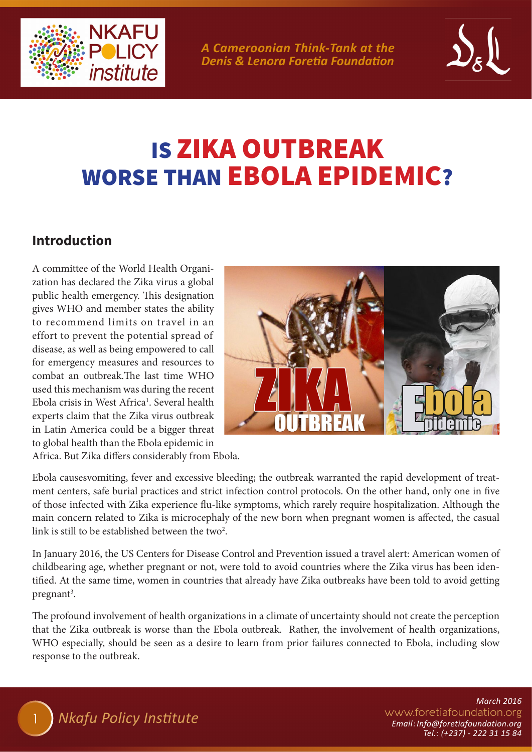

*A Cameroonian Think-Tank at the Denis & Lenora Foretia Foundation*



# IS ZIKA OUTBREAK WORSE THAN EBOLA EPIDEMIC?

### **Introduction**

A committee of the World Health Organization has declared the Zika virus a global public health emergency. This designation gives WHO and member states the ability to recommend limits on travel in an effort to prevent the potential spread of disease, as well as being empowered to call for emergency measures and resources to combat an outbreak.The last time WHO used this mechanism was during the recent Ebola crisis in West Africa<sup>1</sup>. Several health experts claim that the Zika virus outbreak in Latin America could be a bigger threat to global health than the Ebola epidemic in



Africa. But Zika differs considerably from Ebola.

Ebola causesvomiting, fever and excessive bleeding; the outbreak warranted the rapid development of treatment centers, safe burial practices and strict infection control protocols. On the other hand, only one in five of those infected with Zika experience flu-like symptoms, which rarely require hospitalization. Although the main concern related to Zika is microcephaly of the new born when pregnant women is affected, the casual link is still to be established between the two<sup>2</sup>.

In January 2016, the US Centers for Disease Control and Prevention issued a travel alert: American women of childbearing age, whether pregnant or not, were told to avoid countries where the Zika virus has been identified. At the same time, women in countries that already have Zika outbreaks have been told to avoid getting pregnant<sup>3</sup>.

The profound involvement of health organizations in a climate of uncertainty should not create the perception that the Zika outbreak is worse than the Ebola outbreak. Rather, the involvement of health organizations, WHO especially, should be seen as a desire to learn from prior failures connected to Ebola, including slow response to the outbreak.

> www.foretiafoundation.org *March 2016 Email: Info@foretiafoundation.org Tel.: (+237) - 222 31 15 84*